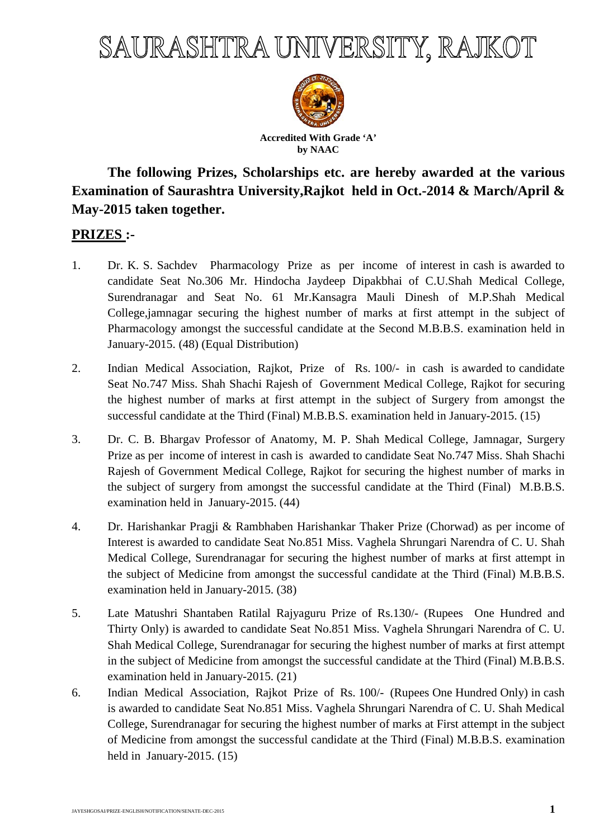## SAURASHTRA UNIVERSITY, RAJKOT



**The following Prizes, Scholarships etc. are hereby awarded at the various Examination of Saurashtra University,Rajkot held in Oct.-2014 & March/April & May-2015 taken together.** 

## **PRIZES :-**

- 1. Dr. K. S. Sachdev Pharmacology Prize as per income of interest in cash is awarded to candidate Seat No.306 Mr. Hindocha Jaydeep Dipakbhai of C.U.Shah Medical College, Surendranagar and Seat No. 61 Mr.Kansagra Mauli Dinesh of M.P.Shah Medical College,jamnagar securing the highest number of marks at first attempt in the subject of Pharmacology amongst the successful candidate at the Second M.B.B.S. examination held in January-2015. (48) (Equal Distribution)
- 2. Indian Medical Association, Rajkot, Prize of Rs. 100/- in cash is awarded to candidate Seat No.747 Miss. Shah Shachi Rajesh of Government Medical College, Rajkot for securing the highest number of marks at first attempt in the subject of Surgery from amongst the successful candidate at the Third (Final) M.B.B.S. examination held in January-2015. (15)
- 3. Dr. C. B. Bhargav Professor of Anatomy, M. P. Shah Medical College, Jamnagar, Surgery Prize as per income of interest in cash is awarded to candidate Seat No.747 Miss. Shah Shachi Rajesh of Government Medical College, Rajkot for securing the highest number of marks in the subject of surgery from amongst the successful candidate at the Third (Final) M.B.B.S. examination held in January-2015. (44)
- 4. Dr. Harishankar Pragji & Rambhaben Harishankar Thaker Prize (Chorwad) as per income of Interest is awarded to candidate Seat No.851 Miss. Vaghela Shrungari Narendra of C. U. Shah Medical College, Surendranagar for securing the highest number of marks at first attempt in the subject of Medicine from amongst the successful candidate at the Third (Final) M.B.B.S. examination held in January-2015. (38)
- 5. Late Matushri Shantaben Ratilal Rajyaguru Prize of Rs.130/- (Rupees One Hundred and Thirty Only) is awarded to candidate Seat No.851 Miss. Vaghela Shrungari Narendra of C. U. Shah Medical College, Surendranagar for securing the highest number of marks at first attempt in the subject of Medicine from amongst the successful candidate at the Third (Final) M.B.B.S. examination held in January-2015. (21)
- 6. Indian Medical Association, Rajkot Prize of Rs. 100/- (Rupees One Hundred Only) in cash is awarded to candidate Seat No.851 Miss. Vaghela Shrungari Narendra of C. U. Shah Medical College, Surendranagar for securing the highest number of marks at First attempt in the subject of Medicine from amongst the successful candidate at the Third (Final) M.B.B.S. examination held in January-2015. (15)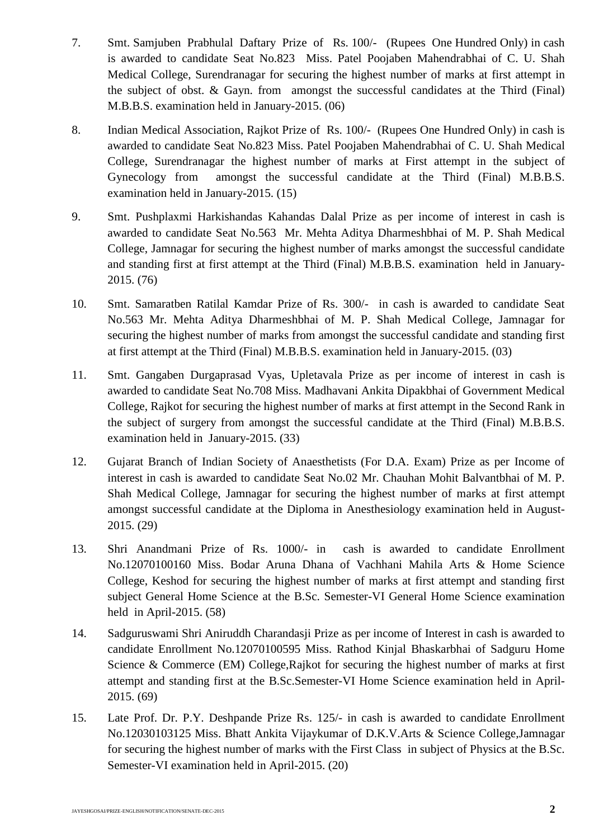- 7. Smt. Samjuben Prabhulal Daftary Prize of Rs. 100/- (Rupees One Hundred Only) in cash is awarded to candidate Seat No.823 Miss. Patel Poojaben Mahendrabhai of C. U. Shah Medical College, Surendranagar for securing the highest number of marks at first attempt in the subject of obst. & Gayn. from amongst the successful candidates at the Third (Final) M.B.B.S. examination held in January-2015. (06)
- 8. Indian Medical Association, Rajkot Prize of Rs. 100/- (Rupees One Hundred Only) in cash is awarded to candidate Seat No.823 Miss. Patel Poojaben Mahendrabhai of C. U. Shah Medical College, Surendranagar the highest number of marks at First attempt in the subject of Gynecology from amongst the successful candidate at the Third (Final) M.B.B.S. examination held in January-2015. (15)
- 9. Smt. Pushplaxmi Harkishandas Kahandas Dalal Prize as per income of interest in cash is awarded to candidate Seat No.563 Mr. Mehta Aditya Dharmeshbhai of M. P. Shah Medical College, Jamnagar for securing the highest number of marks amongst the successful candidate and standing first at first attempt at the Third (Final) M.B.B.S. examination held in January-2015. (76)
- 10. Smt. Samaratben Ratilal Kamdar Prize of Rs. 300/- in cash is awarded to candidate Seat No.563 Mr. Mehta Aditya Dharmeshbhai of M. P. Shah Medical College, Jamnagar for securing the highest number of marks from amongst the successful candidate and standing first at first attempt at the Third (Final) M.B.B.S. examination held in January-2015. (03)
- 11. Smt. Gangaben Durgaprasad Vyas, Upletavala Prize as per income of interest in cash is awarded to candidate Seat No.708 Miss. Madhavani Ankita Dipakbhai of Government Medical College, Rajkot for securing the highest number of marks at first attempt in the Second Rank in the subject of surgery from amongst the successful candidate at the Third (Final) M.B.B.S. examination held in January-2015. (33)
- 12. Gujarat Branch of Indian Society of Anaesthetists (For D.A. Exam) Prize as per Income of interest in cash is awarded to candidate Seat No.02 Mr. Chauhan Mohit Balvantbhai of M. P. Shah Medical College, Jamnagar for securing the highest number of marks at first attempt amongst successful candidate at the Diploma in Anesthesiology examination held in August-2015. (29)
- 13. Shri Anandmani Prize of Rs. 1000/- in cash is awarded to candidate Enrollment No.12070100160 Miss. Bodar Aruna Dhana of Vachhani Mahila Arts & Home Science College, Keshod for securing the highest number of marks at first attempt and standing first subject General Home Science at the B.Sc. Semester-VI General Home Science examination held in April-2015. (58)
- 14. Sadguruswami Shri Aniruddh Charandasji Prize as per income of Interest in cash is awarded to candidate Enrollment No.12070100595 Miss. Rathod Kinjal Bhaskarbhai of Sadguru Home Science & Commerce (EM) College,Rajkot for securing the highest number of marks at first attempt and standing first at the B.Sc.Semester-VI Home Science examination held in April-2015. (69)
- 15. Late Prof. Dr. P.Y. Deshpande Prize Rs. 125/- in cash is awarded to candidate Enrollment No.12030103125 Miss. Bhatt Ankita Vijaykumar of D.K.V.Arts & Science College,Jamnagar for securing the highest number of marks with the First Class in subject of Physics at the B.Sc. Semester-VI examination held in April-2015. (20)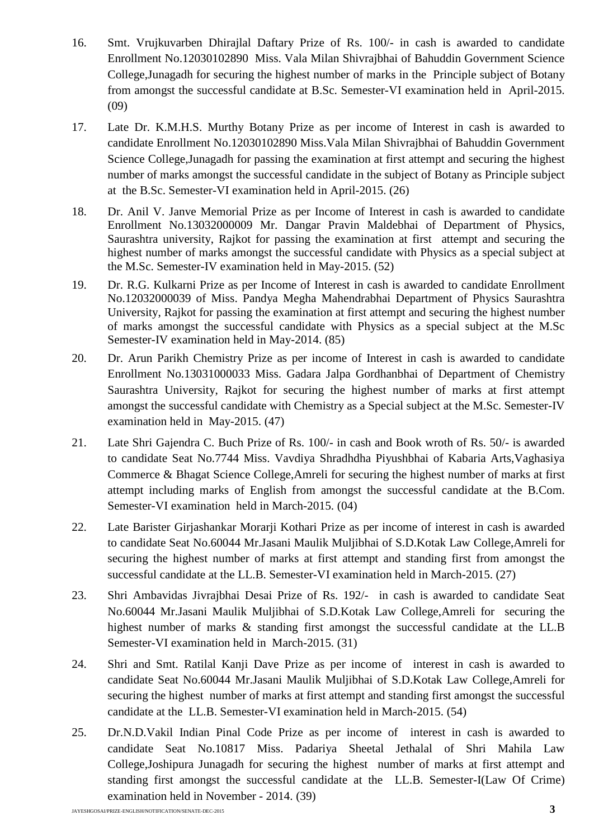- 16. Smt. Vrujkuvarben Dhirajlal Daftary Prize of Rs. 100/- in cash is awarded to candidate Enrollment No.12030102890 Miss. Vala Milan Shivrajbhai of Bahuddin Government Science College,Junagadh for securing the highest number of marks in the Principle subject of Botany from amongst the successful candidate at B.Sc. Semester-VI examination held in April-2015. (09)
- 17. Late Dr. K.M.H.S. Murthy Botany Prize as per income of Interest in cash is awarded to candidate Enrollment No.12030102890 Miss.Vala Milan Shivrajbhai of Bahuddin Government Science College,Junagadh for passing the examination at first attempt and securing the highest number of marks amongst the successful candidate in the subject of Botany as Principle subject at the B.Sc. Semester-VI examination held in April-2015. (26)
- 18. Dr. Anil V. Janve Memorial Prize as per Income of Interest in cash is awarded to candidate Enrollment No.13032000009 Mr. Dangar Pravin Maldebhai of Department of Physics, Saurashtra university, Rajkot for passing the examination at first attempt and securing the highest number of marks amongst the successful candidate with Physics as a special subject at the M.Sc. Semester-IV examination held in May-2015. (52)
- 19. Dr. R.G. Kulkarni Prize as per Income of Interest in cash is awarded to candidate Enrollment No.12032000039 of Miss. Pandya Megha Mahendrabhai Department of Physics Saurashtra University, Rajkot for passing the examination at first attempt and securing the highest number of marks amongst the successful candidate with Physics as a special subject at the M.Sc Semester-IV examination held in May-2014. (85)
- 20. Dr. Arun Parikh Chemistry Prize as per income of Interest in cash is awarded to candidate Enrollment No.13031000033 Miss. Gadara Jalpa Gordhanbhai of Department of Chemistry Saurashtra University, Rajkot for securing the highest number of marks at first attempt amongst the successful candidate with Chemistry as a Special subject at the M.Sc. Semester-IV examination held in May-2015. (47)
- 21. Late Shri Gajendra C. Buch Prize of Rs. 100/- in cash and Book wroth of Rs. 50/- is awarded to candidate Seat No.7744 Miss. Vavdiya Shradhdha Piyushbhai of Kabaria Arts,Vaghasiya Commerce & Bhagat Science College,Amreli for securing the highest number of marks at first attempt including marks of English from amongst the successful candidate at the B.Com. Semester-VI examination held in March-2015. (04)
- 22. Late Barister Girjashankar Morarji Kothari Prize as per income of interest in cash is awarded to candidate Seat No.60044 Mr.Jasani Maulik Muljibhai of S.D.Kotak Law College,Amreli for securing the highest number of marks at first attempt and standing first from amongst the successful candidate at the LL.B. Semester-VI examination held in March-2015. (27)
- 23. Shri Ambavidas Jivrajbhai Desai Prize of Rs. 192/- in cash is awarded to candidate Seat No.60044 Mr.Jasani Maulik Muljibhai of S.D.Kotak Law College,Amreli for securing the highest number of marks & standing first amongst the successful candidate at the LL.B Semester-VI examination held in March-2015. (31)
- 24. Shri and Smt. Ratilal Kanji Dave Prize as per income of interest in cash is awarded to candidate Seat No.60044 Mr.Jasani Maulik Muljibhai of S.D.Kotak Law College,Amreli for securing the highest number of marks at first attempt and standing first amongst the successful candidate at the LL.B. Semester-VI examination held in March-2015. (54)
- 25. Dr.N.D.Vakil Indian Pinal Code Prize as per income of interest in cash is awarded to candidate Seat No.10817 Miss. Padariya Sheetal Jethalal of Shri Mahila Law College,Joshipura Junagadh for securing the highest number of marks at first attempt and standing first amongst the successful candidate at the LL.B. Semester-I(Law Of Crime) examination held in November - 2014. (39)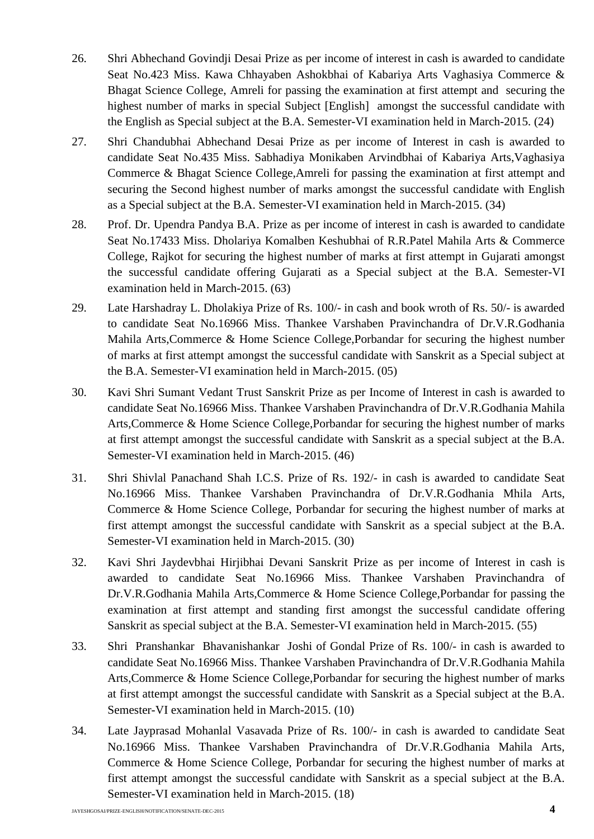- 26. Shri Abhechand Govindji Desai Prize as per income of interest in cash is awarded to candidate Seat No.423 Miss. Kawa Chhayaben Ashokbhai of Kabariya Arts Vaghasiya Commerce & Bhagat Science College, Amreli for passing the examination at first attempt and securing the highest number of marks in special Subject [English] amongst the successful candidate with the English as Special subject at the B.A. Semester-VI examination held in March-2015. (24)
- 27. Shri Chandubhai Abhechand Desai Prize as per income of Interest in cash is awarded to candidate Seat No.435 Miss. Sabhadiya Monikaben Arvindbhai of Kabariya Arts,Vaghasiya Commerce & Bhagat Science College,Amreli for passing the examination at first attempt and securing the Second highest number of marks amongst the successful candidate with English as a Special subject at the B.A. Semester-VI examination held in March-2015. (34)
- 28. Prof. Dr. Upendra Pandya B.A. Prize as per income of interest in cash is awarded to candidate Seat No.17433 Miss. Dholariya Komalben Keshubhai of R.R.Patel Mahila Arts & Commerce College, Rajkot for securing the highest number of marks at first attempt in Gujarati amongst the successful candidate offering Gujarati as a Special subject at the B.A. Semester-VI examination held in March-2015. (63)
- 29. Late Harshadray L. Dholakiya Prize of Rs. 100/- in cash and book wroth of Rs. 50/- is awarded to candidate Seat No.16966 Miss. Thankee Varshaben Pravinchandra of Dr.V.R.Godhania Mahila Arts,Commerce & Home Science College,Porbandar for securing the highest number of marks at first attempt amongst the successful candidate with Sanskrit as a Special subject at the B.A. Semester-VI examination held in March-2015. (05)
- 30. Kavi Shri Sumant Vedant Trust Sanskrit Prize as per Income of Interest in cash is awarded to candidate Seat No.16966 Miss. Thankee Varshaben Pravinchandra of Dr.V.R.Godhania Mahila Arts,Commerce & Home Science College,Porbandar for securing the highest number of marks at first attempt amongst the successful candidate with Sanskrit as a special subject at the B.A. Semester-VI examination held in March-2015. (46)
- 31. Shri Shivlal Panachand Shah I.C.S. Prize of Rs. 192/- in cash is awarded to candidate Seat No.16966 Miss. Thankee Varshaben Pravinchandra of Dr.V.R.Godhania Mhila Arts, Commerce & Home Science College, Porbandar for securing the highest number of marks at first attempt amongst the successful candidate with Sanskrit as a special subject at the B.A. Semester-VI examination held in March-2015. (30)
- 32. Kavi Shri Jaydevbhai Hirjibhai Devani Sanskrit Prize as per income of Interest in cash is awarded to candidate Seat No.16966 Miss. Thankee Varshaben Pravinchandra of Dr.V.R.Godhania Mahila Arts,Commerce & Home Science College,Porbandar for passing the examination at first attempt and standing first amongst the successful candidate offering Sanskrit as special subject at the B.A. Semester-VI examination held in March-2015. (55)
- 33. Shri Pranshankar Bhavanishankar Joshi of Gondal Prize of Rs. 100/- in cash is awarded to candidate Seat No.16966 Miss. Thankee Varshaben Pravinchandra of Dr.V.R.Godhania Mahila Arts,Commerce & Home Science College,Porbandar for securing the highest number of marks at first attempt amongst the successful candidate with Sanskrit as a Special subject at the B.A. Semester-VI examination held in March-2015. (10)
- 34. Late Jayprasad Mohanlal Vasavada Prize of Rs. 100/- in cash is awarded to candidate Seat No.16966 Miss. Thankee Varshaben Pravinchandra of Dr.V.R.Godhania Mahila Arts, Commerce & Home Science College, Porbandar for securing the highest number of marks at first attempt amongst the successful candidate with Sanskrit as a special subject at the B.A. Semester-VI examination held in March-2015. (18)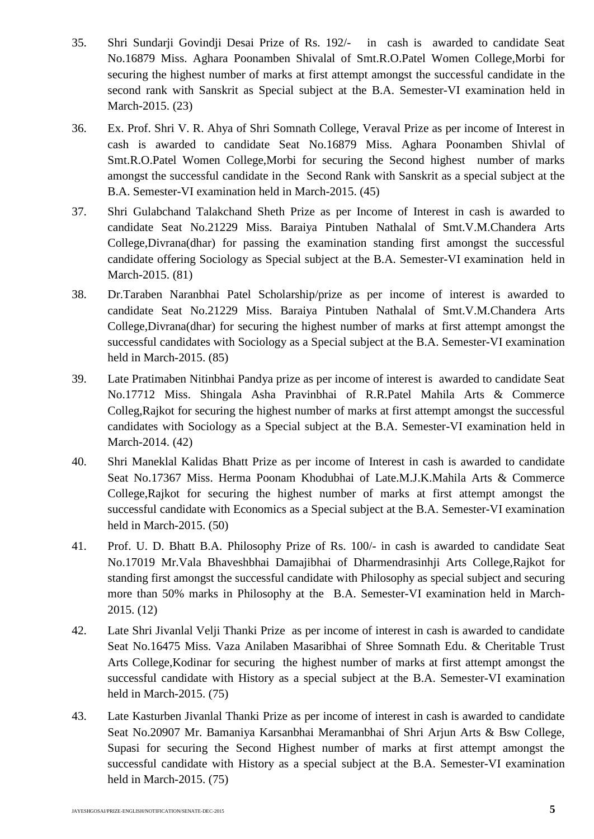- 35. Shri Sundarji Govindji Desai Prize of Rs. 192/- in cash is awarded to candidate Seat No.16879 Miss. Aghara Poonamben Shivalal of Smt.R.O.Patel Women College,Morbi for securing the highest number of marks at first attempt amongst the successful candidate in the second rank with Sanskrit as Special subject at the B.A. Semester-VI examination held in March-2015. (23)
- 36. Ex. Prof. Shri V. R. Ahya of Shri Somnath College, Veraval Prize as per income of Interest in cash is awarded to candidate Seat No.16879 Miss. Aghara Poonamben Shivlal of Smt.R.O.Patel Women College,Morbi for securing the Second highest number of marks amongst the successful candidate in the Second Rank with Sanskrit as a special subject at the B.A. Semester-VI examination held in March-2015. (45)
- 37. Shri Gulabchand Talakchand Sheth Prize as per Income of Interest in cash is awarded to candidate Seat No.21229 Miss. Baraiya Pintuben Nathalal of Smt.V.M.Chandera Arts College,Divrana(dhar) for passing the examination standing first amongst the successful candidate offering Sociology as Special subject at the B.A. Semester-VI examination held in March-2015. (81)
- 38. Dr.Taraben Naranbhai Patel Scholarship/prize as per income of interest is awarded to candidate Seat No.21229 Miss. Baraiya Pintuben Nathalal of Smt.V.M.Chandera Arts College,Divrana(dhar) for securing the highest number of marks at first attempt amongst the successful candidates with Sociology as a Special subject at the B.A. Semester-VI examination held in March-2015. (85)
- 39. Late Pratimaben Nitinbhai Pandya prize as per income of interest is awarded to candidate Seat No.17712 Miss. Shingala Asha Pravinbhai of R.R.Patel Mahila Arts & Commerce Colleg,Rajkot for securing the highest number of marks at first attempt amongst the successful candidates with Sociology as a Special subject at the B.A. Semester-VI examination held in March-2014. (42)
- 40. Shri Maneklal Kalidas Bhatt Prize as per income of Interest in cash is awarded to candidate Seat No.17367 Miss. Herma Poonam Khodubhai of Late.M.J.K.Mahila Arts & Commerce College,Rajkot for securing the highest number of marks at first attempt amongst the successful candidate with Economics as a Special subject at the B.A. Semester-VI examination held in March-2015. (50)
- 41. Prof. U. D. Bhatt B.A. Philosophy Prize of Rs. 100/- in cash is awarded to candidate Seat No.17019 Mr.Vala Bhaveshbhai Damajibhai of Dharmendrasinhji Arts College,Rajkot for standing first amongst the successful candidate with Philosophy as special subject and securing more than 50% marks in Philosophy at the B.A. Semester-VI examination held in March-2015. (12)
- 42. Late Shri Jivanlal Velji Thanki Prize as per income of interest in cash is awarded to candidate Seat No.16475 Miss. Vaza Anilaben Masaribhai of Shree Somnath Edu. & Cheritable Trust Arts College,Kodinar for securing the highest number of marks at first attempt amongst the successful candidate with History as a special subject at the B.A. Semester-VI examination held in March-2015. (75)
- 43. Late Kasturben Jivanlal Thanki Prize as per income of interest in cash is awarded to candidate Seat No.20907 Mr. Bamaniya Karsanbhai Meramanbhai of Shri Arjun Arts & Bsw College, Supasi for securing the Second Highest number of marks at first attempt amongst the successful candidate with History as a special subject at the B.A. Semester-VI examination held in March-2015. (75)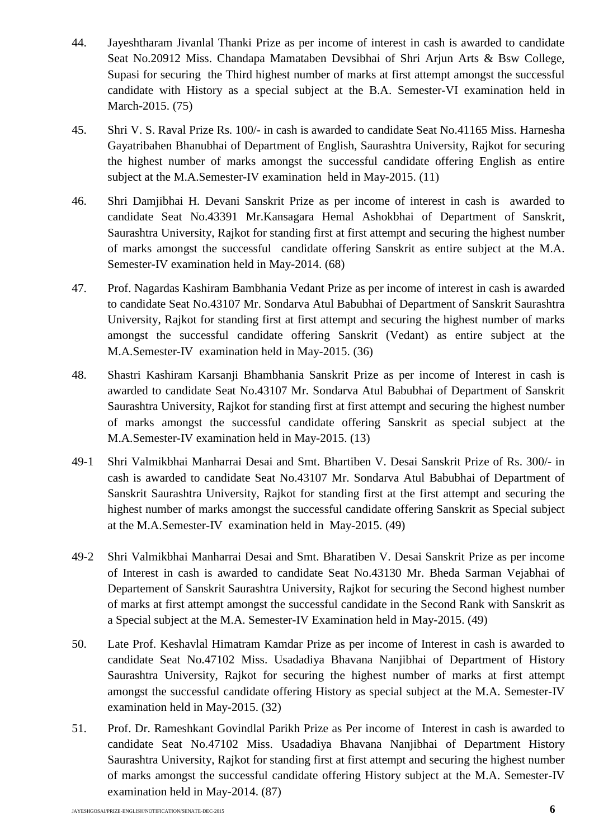- 44. Jayeshtharam Jivanlal Thanki Prize as per income of interest in cash is awarded to candidate Seat No.20912 Miss. Chandapa Mamataben Devsibhai of Shri Arjun Arts & Bsw College, Supasi for securing the Third highest number of marks at first attempt amongst the successful candidate with History as a special subject at the B.A. Semester-VI examination held in March-2015. (75)
- 45. Shri V. S. Raval Prize Rs. 100/- in cash is awarded to candidate Seat No.41165 Miss. Harnesha Gayatribahen Bhanubhai of Department of English, Saurashtra University, Rajkot for securing the highest number of marks amongst the successful candidate offering English as entire subject at the M.A.Semester-IV examination held in May-2015. (11)
- 46. Shri Damjibhai H. Devani Sanskrit Prize as per income of interest in cash is awarded to candidate Seat No.43391 Mr.Kansagara Hemal Ashokbhai of Department of Sanskrit, Saurashtra University, Rajkot for standing first at first attempt and securing the highest number of marks amongst the successful candidate offering Sanskrit as entire subject at the M.A. Semester-IV examination held in May-2014. (68)
- 47. Prof. Nagardas Kashiram Bambhania Vedant Prize as per income of interest in cash is awarded to candidate Seat No.43107 Mr. Sondarva Atul Babubhai of Department of Sanskrit Saurashtra University, Rajkot for standing first at first attempt and securing the highest number of marks amongst the successful candidate offering Sanskrit (Vedant) as entire subject at the M.A.Semester-IV examination held in May-2015. (36)
- 48. Shastri Kashiram Karsanji Bhambhania Sanskrit Prize as per income of Interest in cash is awarded to candidate Seat No.43107 Mr. Sondarva Atul Babubhai of Department of Sanskrit Saurashtra University, Rajkot for standing first at first attempt and securing the highest number of marks amongst the successful candidate offering Sanskrit as special subject at the M.A.Semester-IV examination held in May-2015. (13)
- 49-1 Shri Valmikbhai Manharrai Desai and Smt. Bhartiben V. Desai Sanskrit Prize of Rs. 300/- in cash is awarded to candidate Seat No.43107 Mr. Sondarva Atul Babubhai of Department of Sanskrit Saurashtra University, Rajkot for standing first at the first attempt and securing the highest number of marks amongst the successful candidate offering Sanskrit as Special subject at the M.A.Semester-IV examination held in May-2015. (49)
- 49-2 Shri Valmikbhai Manharrai Desai and Smt. Bharatiben V. Desai Sanskrit Prize as per income of Interest in cash is awarded to candidate Seat No.43130 Mr. Bheda Sarman Vejabhai of Departement of Sanskrit Saurashtra University, Rajkot for securing the Second highest number of marks at first attempt amongst the successful candidate in the Second Rank with Sanskrit as a Special subject at the M.A. Semester-IV Examination held in May-2015. (49)
- 50. Late Prof. Keshavlal Himatram Kamdar Prize as per income of Interest in cash is awarded to candidate Seat No.47102 Miss. Usadadiya Bhavana Nanjibhai of Department of History Saurashtra University, Rajkot for securing the highest number of marks at first attempt amongst the successful candidate offering History as special subject at the M.A. Semester-IV examination held in May-2015. (32)
- 51. Prof. Dr. Rameshkant Govindlal Parikh Prize as Per income of Interest in cash is awarded to candidate Seat No.47102 Miss. Usadadiya Bhavana Nanjibhai of Department History Saurashtra University, Rajkot for standing first at first attempt and securing the highest number of marks amongst the successful candidate offering History subject at the M.A. Semester-IV examination held in May-2014. (87)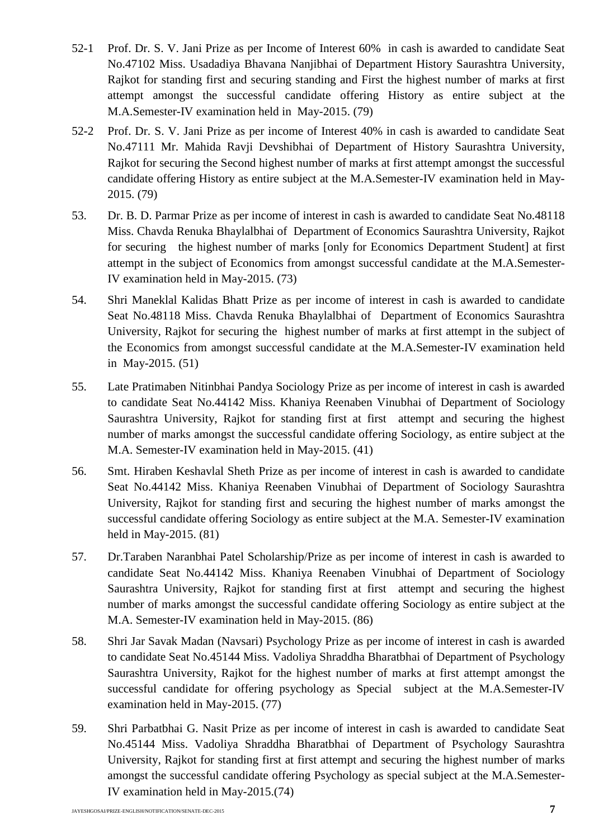- 52-1 Prof. Dr. S. V. Jani Prize as per Income of Interest 60% in cash is awarded to candidate Seat No.47102 Miss. Usadadiya Bhavana Nanjibhai of Department History Saurashtra University, Rajkot for standing first and securing standing and First the highest number of marks at first attempt amongst the successful candidate offering History as entire subject at the M.A.Semester-IV examination held in May-2015. (79)
- 52-2 Prof. Dr. S. V. Jani Prize as per income of Interest 40% in cash is awarded to candidate Seat No.47111 Mr. Mahida Ravji Devshibhai of Department of History Saurashtra University, Rajkot for securing the Second highest number of marks at first attempt amongst the successful candidate offering History as entire subject at the M.A.Semester-IV examination held in May-2015. (79)
- 53. Dr. B. D. Parmar Prize as per income of interest in cash is awarded to candidate Seat No.48118 Miss. Chavda Renuka Bhaylalbhai of Department of Economics Saurashtra University, Rajkot for securing the highest number of marks [only for Economics Department Student] at first attempt in the subject of Economics from amongst successful candidate at the M.A.Semester-IV examination held in May-2015. (73)
- 54. Shri Maneklal Kalidas Bhatt Prize as per income of interest in cash is awarded to candidate Seat No.48118 Miss. Chavda Renuka Bhaylalbhai of Department of Economics Saurashtra University, Rajkot for securing the highest number of marks at first attempt in the subject of the Economics from amongst successful candidate at the M.A.Semester-IV examination held in May-2015. (51)
- 55. Late Pratimaben Nitinbhai Pandya Sociology Prize as per income of interest in cash is awarded to candidate Seat No.44142 Miss. Khaniya Reenaben Vinubhai of Department of Sociology Saurashtra University, Rajkot for standing first at first attempt and securing the highest number of marks amongst the successful candidate offering Sociology, as entire subject at the M.A. Semester-IV examination held in May-2015. (41)
- 56. Smt. Hiraben Keshavlal Sheth Prize as per income of interest in cash is awarded to candidate Seat No.44142 Miss. Khaniya Reenaben Vinubhai of Department of Sociology Saurashtra University, Rajkot for standing first and securing the highest number of marks amongst the successful candidate offering Sociology as entire subject at the M.A. Semester-IV examination held in May-2015. (81)
- 57. Dr.Taraben Naranbhai Patel Scholarship/Prize as per income of interest in cash is awarded to candidate Seat No.44142 Miss. Khaniya Reenaben Vinubhai of Department of Sociology Saurashtra University, Rajkot for standing first at first attempt and securing the highest number of marks amongst the successful candidate offering Sociology as entire subject at the M.A. Semester-IV examination held in May-2015. (86)
- 58. Shri Jar Savak Madan (Navsari) Psychology Prize as per income of interest in cash is awarded to candidate Seat No.45144 Miss. Vadoliya Shraddha Bharatbhai of Department of Psychology Saurashtra University, Rajkot for the highest number of marks at first attempt amongst the successful candidate for offering psychology as Special subject at the M.A.Semester-IV examination held in May-2015. (77)
- 59. Shri Parbatbhai G. Nasit Prize as per income of interest in cash is awarded to candidate Seat No.45144 Miss. Vadoliya Shraddha Bharatbhai of Department of Psychology Saurashtra University, Rajkot for standing first at first attempt and securing the highest number of marks amongst the successful candidate offering Psychology as special subject at the M.A.Semester-IV examination held in May-2015.(74)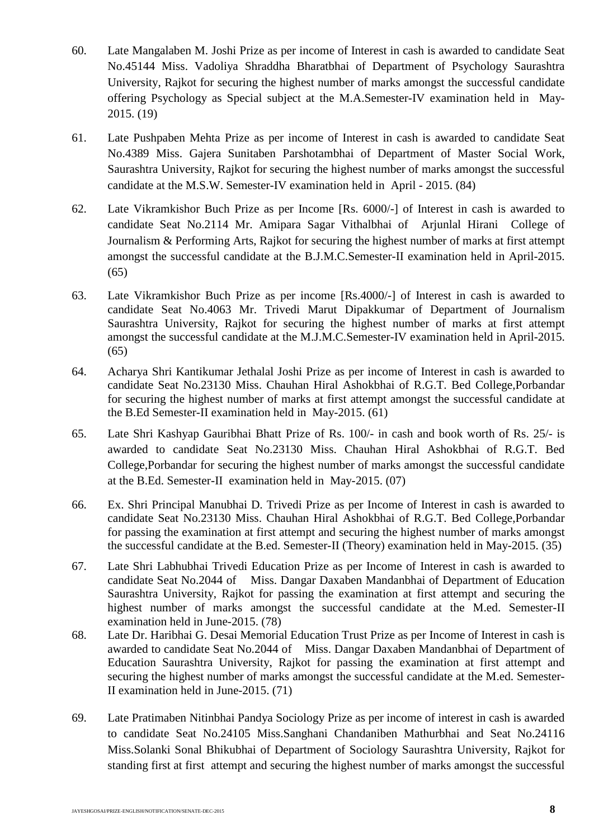- 60. Late Mangalaben M. Joshi Prize as per income of Interest in cash is awarded to candidate Seat No.45144 Miss. Vadoliya Shraddha Bharatbhai of Department of Psychology Saurashtra University, Rajkot for securing the highest number of marks amongst the successful candidate offering Psychology as Special subject at the M.A.Semester-IV examination held in May-2015. (19)
- 61. Late Pushpaben Mehta Prize as per income of Interest in cash is awarded to candidate Seat No.4389 Miss. Gajera Sunitaben Parshotambhai of Department of Master Social Work, Saurashtra University, Rajkot for securing the highest number of marks amongst the successful candidate at the M.S.W. Semester-IV examination held in April - 2015. (84)
- 62. Late Vikramkishor Buch Prize as per Income [Rs. 6000/-] of Interest in cash is awarded to candidate Seat No.2114 Mr. Amipara Sagar Vithalbhai of Arjunlal Hirani College of Journalism & Performing Arts, Rajkot for securing the highest number of marks at first attempt amongst the successful candidate at the B.J.M.C.Semester-II examination held in April-2015. (65)
- 63. Late Vikramkishor Buch Prize as per income [Rs.4000/-] of Interest in cash is awarded to candidate Seat No.4063 Mr. Trivedi Marut Dipakkumar of Department of Journalism Saurashtra University, Rajkot for securing the highest number of marks at first attempt amongst the successful candidate at the M.J.M.C.Semester-IV examination held in April-2015. (65)
- 64. Acharya Shri Kantikumar Jethalal Joshi Prize as per income of Interest in cash is awarded to candidate Seat No.23130 Miss. Chauhan Hiral Ashokbhai of R.G.T. Bed College,Porbandar for securing the highest number of marks at first attempt amongst the successful candidate at the B.Ed Semester-II examination held in May-2015. (61)
- 65. Late Shri Kashyap Gauribhai Bhatt Prize of Rs. 100/- in cash and book worth of Rs. 25/- is awarded to candidate Seat No.23130 Miss. Chauhan Hiral Ashokbhai of R.G.T. Bed College,Porbandar for securing the highest number of marks amongst the successful candidate at the B.Ed. Semester-II examination held in May-2015. (07)
- 66. Ex. Shri Principal Manubhai D. Trivedi Prize as per Income of Interest in cash is awarded to candidate Seat No.23130 Miss. Chauhan Hiral Ashokbhai of R.G.T. Bed College,Porbandar for passing the examination at first attempt and securing the highest number of marks amongst the successful candidate at the B.ed. Semester-II (Theory) examination held in May-2015. (35)
- 67. Late Shri Labhubhai Trivedi Education Prize as per Income of Interest in cash is awarded to candidate Seat No.2044 of Miss. Dangar Daxaben Mandanbhai of Department of Education Saurashtra University, Rajkot for passing the examination at first attempt and securing the highest number of marks amongst the successful candidate at the M.ed. Semester-II examination held in June-2015. (78)
- 68. Late Dr. Haribhai G. Desai Memorial Education Trust Prize as per Income of Interest in cash is awarded to candidate Seat No.2044 of Miss. Dangar Daxaben Mandanbhai of Department of Education Saurashtra University, Rajkot for passing the examination at first attempt and securing the highest number of marks amongst the successful candidate at the M.ed. Semester-II examination held in June-2015. (71)
- 69. Late Pratimaben Nitinbhai Pandya Sociology Prize as per income of interest in cash is awarded to candidate Seat No.24105 Miss.Sanghani Chandaniben Mathurbhai and Seat No.24116 Miss.Solanki Sonal Bhikubhai of Department of Sociology Saurashtra University, Rajkot for standing first at first attempt and securing the highest number of marks amongst the successful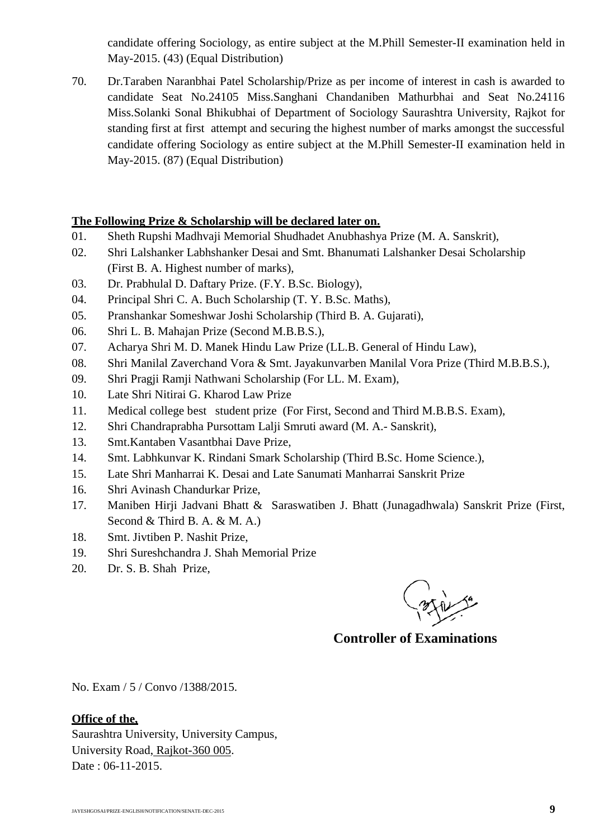candidate offering Sociology, as entire subject at the M.Phill Semester-II examination held in May-2015. (43) (Equal Distribution)

70. Dr.Taraben Naranbhai Patel Scholarship/Prize as per income of interest in cash is awarded to candidate Seat No.24105 Miss.Sanghani Chandaniben Mathurbhai and Seat No.24116 Miss.Solanki Sonal Bhikubhai of Department of Sociology Saurashtra University, Rajkot for standing first at first attempt and securing the highest number of marks amongst the successful candidate offering Sociology as entire subject at the M.Phill Semester-II examination held in May-2015. (87) (Equal Distribution)

### **The Following Prize & Scholarship will be declared later on.**

- 01. Sheth Rupshi Madhvaji Memorial Shudhadet Anubhashya Prize (M. A. Sanskrit),
- 02. Shri Lalshanker Labhshanker Desai and Smt. Bhanumati Lalshanker Desai Scholarship (First B. A. Highest number of marks),
- 03. Dr. Prabhulal D. Daftary Prize. (F.Y. B.Sc. Biology),
- 04. Principal Shri C. A. Buch Scholarship (T. Y. B.Sc. Maths),
- 05. Pranshankar Someshwar Joshi Scholarship (Third B. A. Gujarati),
- 06. Shri L. B. Mahajan Prize (Second M.B.B.S.),
- 07. Acharya Shri M. D. Manek Hindu Law Prize (LL.B. General of Hindu Law),
- 08. Shri Manilal Zaverchand Vora & Smt. Jayakunvarben Manilal Vora Prize (Third M.B.B.S.),
- 09. Shri Pragji Ramji Nathwani Scholarship (For LL. M. Exam),
- 10. Late Shri Nitirai G. Kharod Law Prize
- 11. Medical college best student prize (For First, Second and Third M.B.B.S. Exam),
- 12. Shri Chandraprabha Pursottam Lalji Smruti award (M. A.- Sanskrit),
- 13. Smt.Kantaben Vasantbhai Dave Prize,
- 14. Smt. Labhkunvar K. Rindani Smark Scholarship (Third B.Sc. Home Science.),
- 15. Late Shri Manharrai K. Desai and Late Sanumati Manharrai Sanskrit Prize
- 16. Shri Avinash Chandurkar Prize,
- 17. Maniben Hirji Jadvani Bhatt & Saraswatiben J. Bhatt (Junagadhwala) Sanskrit Prize (First, Second & Third B. A. & M. A.)
- 18. Smt. Jivtiben P. Nashit Prize,
- 19. Shri Sureshchandra J. Shah Memorial Prize
- 20. Dr. S. B. Shah Prize,

 **Controller of Examinations**

No. Exam / 5 / Convo /1388/2015.

#### **Office of the,**

Saurashtra University, University Campus, University Road, Rajkot-360 005. Date: 06-11-2015.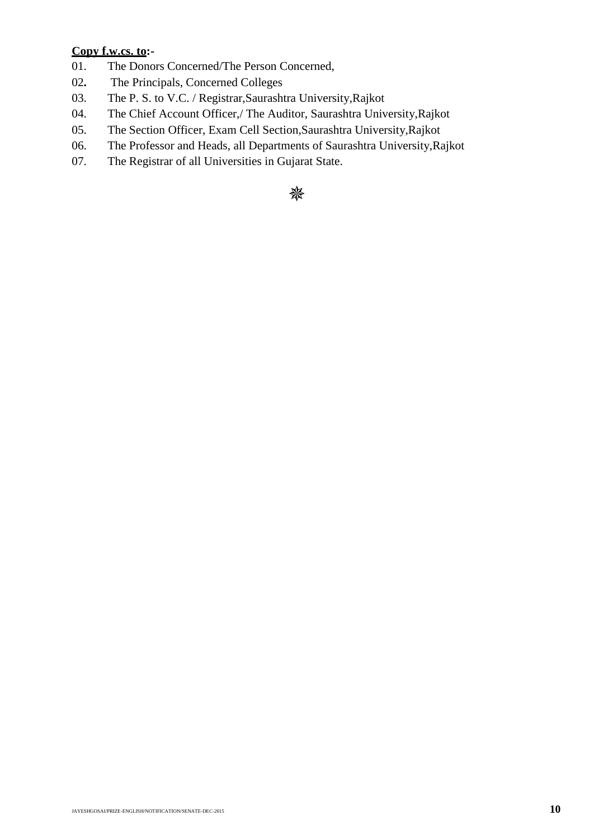## **Copy f.w.cs. to:-**

- 01. The Donors Concerned/The Person Concerned,
- 02**.** The Principals, Concerned Colleges
- 03. The P. S. to V.C. / Registrar,Saurashtra University,Rajkot
- 04. The Chief Account Officer,/ The Auditor, Saurashtra University,Rajkot
- 05. The Section Officer, Exam Cell Section,Saurashtra University,Rajkot
- 06. The Professor and Heads, all Departments of Saurashtra University,Rajkot
- 07. The Registrar of all Universities in Gujarat State.

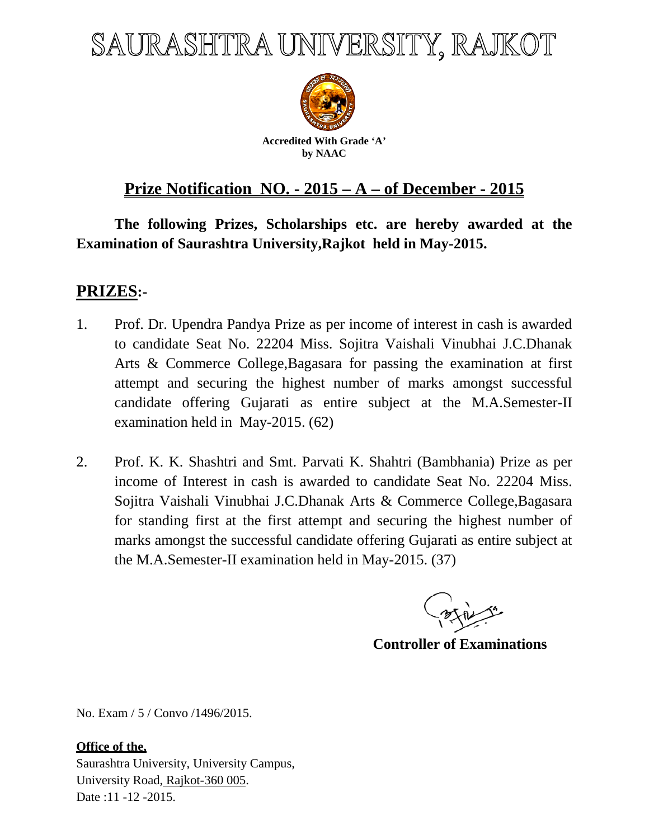# SAURASHTRA UNIVERSITY, RAJKOT



**Accredited With Grade 'A' by NAAC**

## **Prize Notification NO. - 2015 – A – of December - 2015**

**The following Prizes, Scholarships etc. are hereby awarded at the Examination of Saurashtra University,Rajkot held in May-2015.**

## **PRIZES:-**

- 1. Prof. Dr. Upendra Pandya Prize as per income of interest in cash is awarded to candidate Seat No. 22204 Miss. Sojitra Vaishali Vinubhai J.C.Dhanak Arts & Commerce College,Bagasara for passing the examination at first attempt and securing the highest number of marks amongst successful candidate offering Gujarati as entire subject at the M.A.Semester-II examination held in May-2015. (62)
- 2. Prof. K. K. Shashtri and Smt. Parvati K. Shahtri (Bambhania) Prize as per income of Interest in cash is awarded to candidate Seat No. 22204 Miss. Sojitra Vaishali Vinubhai J.C.Dhanak Arts & Commerce College,Bagasara for standing first at the first attempt and securing the highest number of marks amongst the successful candidate offering Gujarati as entire subject at the M.A.Semester-II examination held in May-2015. (37)

 **Controller of Examinations**

No. Exam / 5 / Convo /1496/2015.

## **Office of the,**

Saurashtra University, University Campus, University Road, Rajkot-360 005. Date :11 -12 -2015.